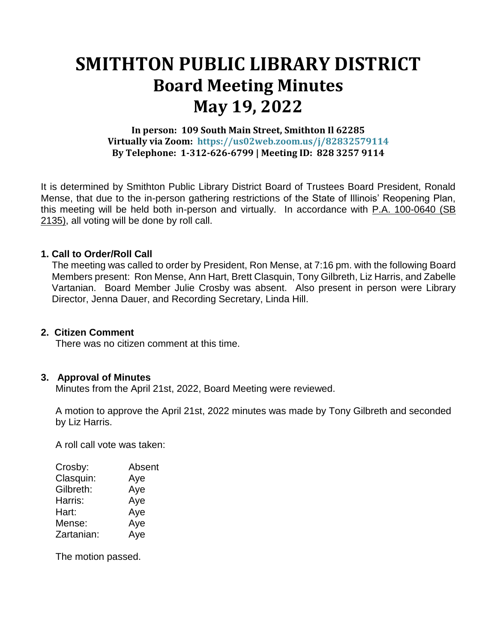# **SMITHTON PUBLIC LIBRARY DISTRICT Board Meeting Minutes May 19, 2022**

## **In person: 109 South Main Street, Smithton Il 62285 Virtually via Zoom: https://us02web.zoom.us/j/82832579114 By Telephone: 1-312-626-6799 | Meeting ID: 828 3257 9114**

It is determined by Smithton Public Library District Board of Trustees Board President, Ronald Mense, that due to the in-person gathering restrictions of the State of Illinois' Reopening Plan, this meeting will be held both in-person and virtually. In accordance with P.A. 100-0640 (SB 2135), all voting will be done by roll call.

## **1. Call to Order/Roll Call**

The meeting was called to order by President, Ron Mense, at 7:16 pm. with the following Board Members present: Ron Mense, Ann Hart, Brett Clasquin, Tony Gilbreth, Liz Harris, and Zabelle Vartanian. Board Member Julie Crosby was absent. Also present in person were Library Director, Jenna Dauer, and Recording Secretary, Linda Hill.

#### **2. Citizen Comment**

There was no citizen comment at this time.

#### **3. Approval of Minutes**

Minutes from the April 21st, 2022, Board Meeting were reviewed.

A motion to approve the April 21st, 2022 minutes was made by Tony Gilbreth and seconded by Liz Harris.

A roll call vote was taken:

| Absent |
|--------|
| Aye    |
| Aye    |
| Aye    |
| Aye    |
| Aye    |
| Aye    |
|        |

The motion passed.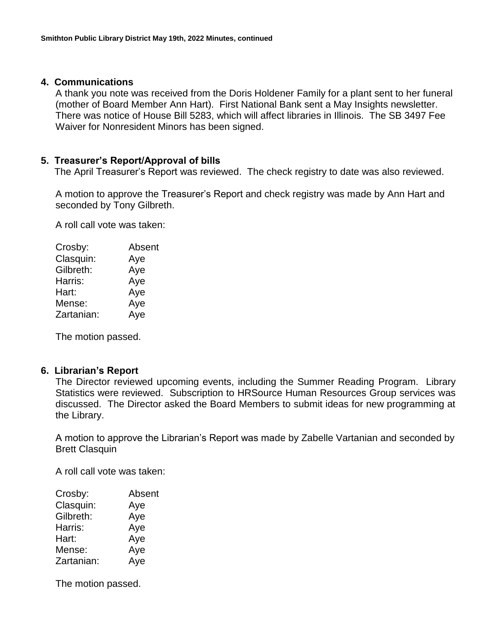#### **4. Communications**

A thank you note was received from the Doris Holdener Family for a plant sent to her funeral (mother of Board Member Ann Hart). First National Bank sent a May Insights newsletter. There was notice of House Bill 5283, which will affect libraries in Illinois. The SB 3497 Fee Waiver for Nonresident Minors has been signed.

### **5. Treasurer's Report/Approval of bills**

The April Treasurer's Report was reviewed. The check registry to date was also reviewed.

A motion to approve the Treasurer's Report and check registry was made by Ann Hart and seconded by Tony Gilbreth.

A roll call vote was taken:

| Crosby:    | Absent |
|------------|--------|
| Clasquin:  | Aye    |
| Gilbreth:  | Aye    |
| Harris:    | Aye    |
| Hart:      | Aye    |
| Mense:     | Aye    |
| Zartanian: | Aye    |
|            |        |

The motion passed.

#### **6. Librarian's Report**

The Director reviewed upcoming events, including the Summer Reading Program. Library Statistics were reviewed. Subscription to HRSource Human Resources Group services was discussed. The Director asked the Board Members to submit ideas for new programming at the Library.

A motion to approve the Librarian's Report was made by Zabelle Vartanian and seconded by Brett Clasquin

A roll call vote was taken:

| Absent |
|--------|
| Aye    |
| Aye    |
| Aye    |
| Aye    |
| Aye    |
| Aye    |
|        |

The motion passed.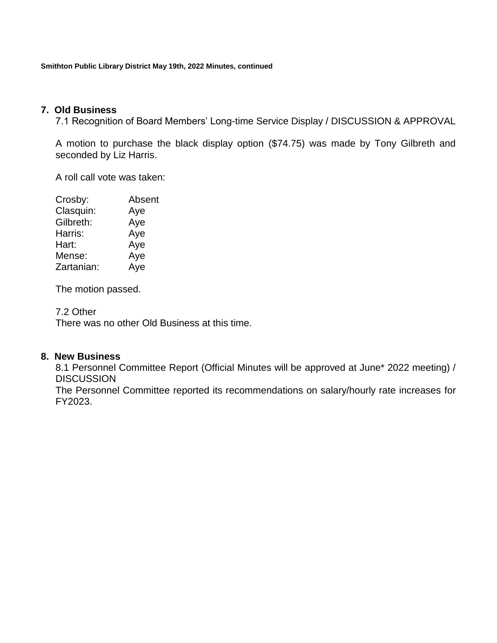**Smithton Public Library District May 19th, 2022 Minutes, continued**

## **7. Old Business**

7.1 Recognition of Board Members' Long-time Service Display / DISCUSSION & APPROVAL

A motion to purchase the black display option (\$74.75) was made by Tony Gilbreth and seconded by Liz Harris.

A roll call vote was taken:

| Crosby:    | Absent |
|------------|--------|
| Clasquin:  | Aye    |
| Gilbreth:  | Aye    |
| Harris:    | Aye    |
| Hart:      | Aye    |
| Mense:     | Aye    |
| Zartanian: | Aye    |
|            |        |

The motion passed.

7.2 Other

There was no other Old Business at this time.

#### **8. New Business**

8.1 Personnel Committee Report (Official Minutes will be approved at June\* 2022 meeting) / **DISCUSSION** 

The Personnel Committee reported its recommendations on salary/hourly rate increases for FY2023.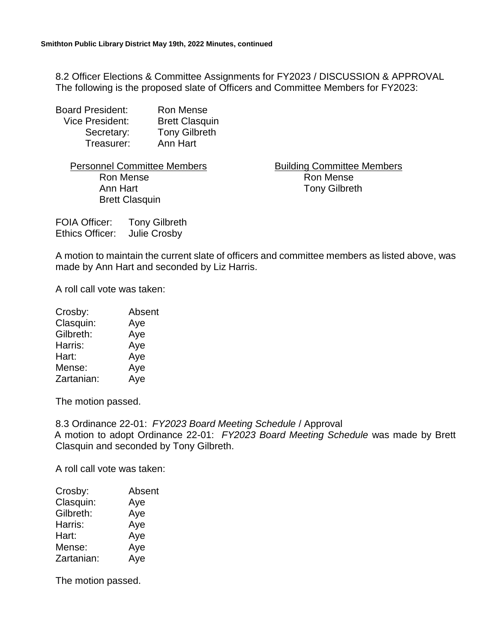8.2 Officer Elections & Committee Assignments for FY2023 / DISCUSSION & APPROVAL The following is the proposed slate of Officers and Committee Members for FY2023:

| <b>Board President:</b> | Ron Mense             |
|-------------------------|-----------------------|
| <b>Vice President:</b>  | <b>Brett Clasquin</b> |
| Secretary:              | <b>Tony Gilbreth</b>  |
| Treasurer:              | Ann Hart              |

Ron Mense **Ron Mense** Ron Mense Ann Hart Tony Gilbreth Brett Clasquin

Personnel Committee Members **Building Committee Members** 

FOIA Officer: Tony Gilbreth Ethics Officer: Julie Crosby

A motion to maintain the current slate of officers and committee members as listed above, was made by Ann Hart and seconded by Liz Harris.

A roll call vote was taken:

| Crosby:    | Absent |
|------------|--------|
| Clasquin:  | Aye    |
| Gilbreth:  | Aye    |
| Harris:    | Aye    |
| Hart:      | Aye    |
| Mense:     | Aye    |
| Zartanian: | Aye    |

The motion passed.

8.3 Ordinance 22-01: *FY2023 Board Meeting Schedule* / Approval A motion to adopt Ordinance 22-01: *FY2023 Board Meeting Schedule* was made by Brett Clasquin and seconded by Tony Gilbreth.

A roll call vote was taken:

| Crosby:    | Absent |
|------------|--------|
| Clasquin:  | Aye    |
| Gilbreth:  | Aye    |
| Harris:    | Aye    |
| Hart:      | Aye    |
| Mense:     | Aye    |
| Zartanian: | Aye    |

The motion passed.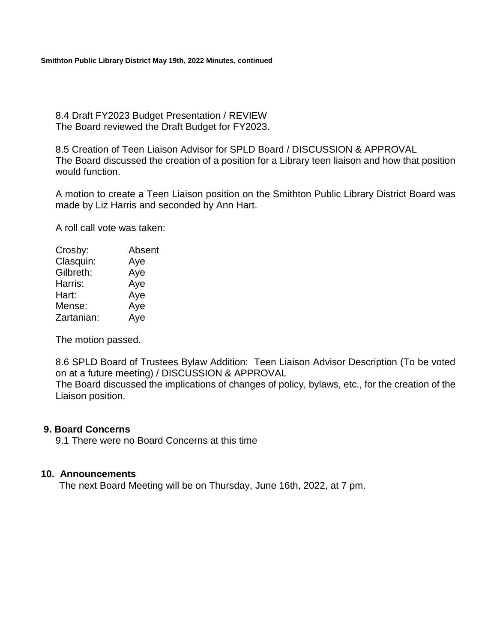8.4 Draft FY2023 Budget Presentation / REVIEW The Board reviewed the Draft Budget for FY2023.

8.5 Creation of Teen Liaison Advisor for SPLD Board / DISCUSSION & APPROVAL The Board discussed the creation of a position for a Library teen liaison and how that position would function.

A motion to create a Teen Liaison position on the Smithton Public Library District Board was made by Liz Harris and seconded by Ann Hart.

A roll call vote was taken:

| Crosby:    | Absent |
|------------|--------|
| Clasquin:  | Aye    |
| Gilbreth:  | Aye    |
| Harris:    | Aye    |
| Hart:      | Aye    |
| Mense:     | Aye    |
| Zartanian: | Aye    |

The motion passed.

8.6 SPLD Board of Trustees Bylaw Addition: Teen Liaison Advisor Description (To be voted on at a future meeting) / DISCUSSION & APPROVAL

The Board discussed the implications of changes of policy, bylaws, etc., for the creation of the Liaison position.

#### **9. Board Concerns**

9.1 There were no Board Concerns at this time

#### **10. Announcements**

The next Board Meeting will be on Thursday, June 16th, 2022, at 7 pm.